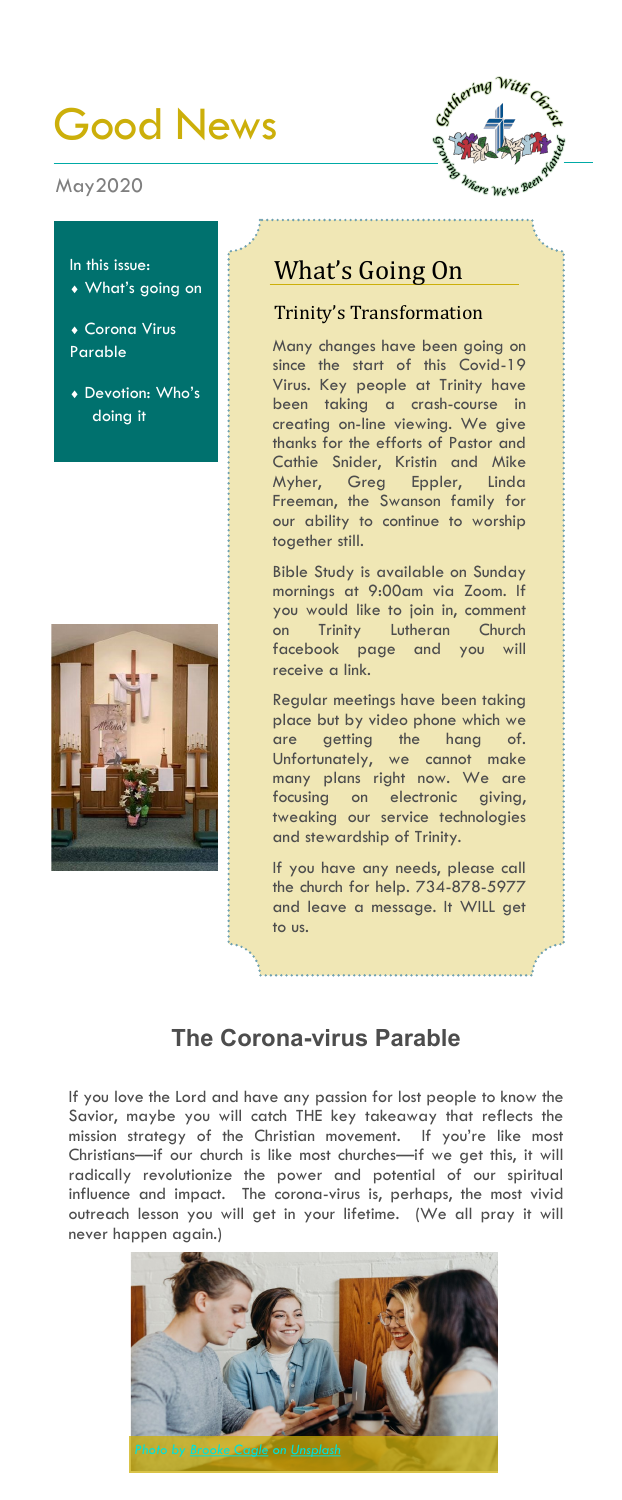# Good News

#### May2020



In this issue:

- What's going on
- Corona Virus Parable
- Devotion: Who's doing it



## What's Going On

#### Trinity's Transformation

Many changes have been going on since the start of this Covid-19 Virus. Key people at Trinity have been taking a crash-course in creating on-line viewing. We give thanks for the efforts of Pastor and Cathie Snider, Kristin and Mike Myher, Greg Eppler, Linda Freeman, the Swanson family for our ability to continue to worship together still.

Bible Study is available on Sunday mornings at 9:00am via Zoom. If you would like to join in, comment on Trinity Lutheran Church facebook page and you will receive a link.

Regular meetings have been taking place but by video phone which we are getting the hang of. Unfortunately, we cannot make many plans right now. We are focusing on electronic giving, tweaking our service technologies and stewardship of Trinity.

If you have any needs, please call the church for help. 734-878-5977 and leave a message. It WILL get to us.

## **The Corona-virus Parable**

If you love the Lord and have any passion for lost people to know the Savior, maybe you will catch THE key takeaway that reflects the mission strategy of the Christian movement. If you're like most Christians—if our church is like most churches—if we get this, it will radically revolutionize the power and potential of our spiritual influence and impact. The corona-virus is, perhaps, the most vivid outreach lesson you will get in your lifetime. (We all pray it will never happen again.)

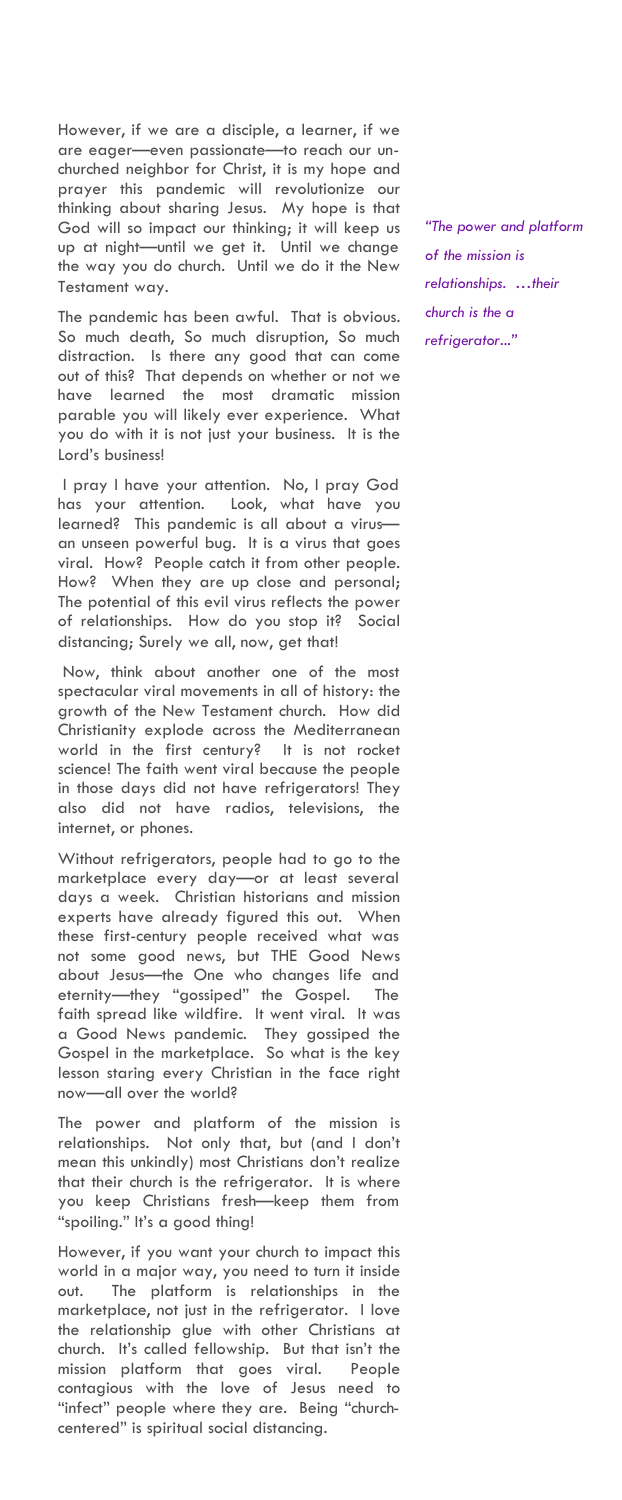However, if we are a disciple, a learner, if we are eager—even passionate—to reach our unchurched neighbor for Christ, it is my hope and prayer this pandemic will revolutionize our thinking about sharing Jesus. My hope is that God will so impact our thinking; it will keep us up at night—until we get it. Until we change the way you do church. Until we do it the New Testament way.

The pandemic has been awful. That is obvious. So much death, So much disruption, So much distraction. Is there any good that can come out of this? That depends on whether or not we have learned the most dramatic mission parable you will likely ever experience. What you do with it is not just your business. It is the Lord's business!

I pray I have your attention. No, I pray God has your attention. Look, what have you learned? This pandemic is all about a virus an unseen powerful bug. It is a virus that goes viral. How? People catch it from other people. How? When they are up close and personal; The potential of this evil virus reflects the power of relationships. How do you stop it? Social distancing; Surely we all, now, get that!

Now, think about another one of the most spectacular viral movements in all of history: the growth of the New Testament church. How did Christianity explode across the Mediterranean world in the first century? It is not rocket science! The faith went viral because the people in those days did not have refrigerators! They also did not have radios, televisions, the internet, or phones.

Without refrigerators, people had to go to the marketplace every day—or at least several days a week. Christian historians and mission experts have already figured this out. When these first-century people received what was not some good news, but THE Good News about Jesus—the One who changes life and eternity—they "gossiped" the Gospel. The faith spread like wildfire. It went viral. It was a Good News pandemic. They gossiped the Gospel in the marketplace. So what is the key lesson staring every Christian in the face right now—all over the world?

The power and platform of the mission is relationships. Not only that, but (and I don't mean this unkindly) most Christians don't realize that their church is the refrigerator. It is where you keep Christians fresh—keep them from "spoiling." It's a good thing!

However, if you want your church to impact this world in a major way, you need to turn it inside out. The platform is relationships in the marketplace, not just in the refrigerator. I love the relationship glue with other Christians at church. It's called fellowship. But that isn't the mission platform that goes viral. People contagious with the love of Jesus need to "infect" people where they are. Being "churchcentered" is spiritual social distancing.

*"The power and platform of the mission is relationships. …their church is the a refrigerator..."*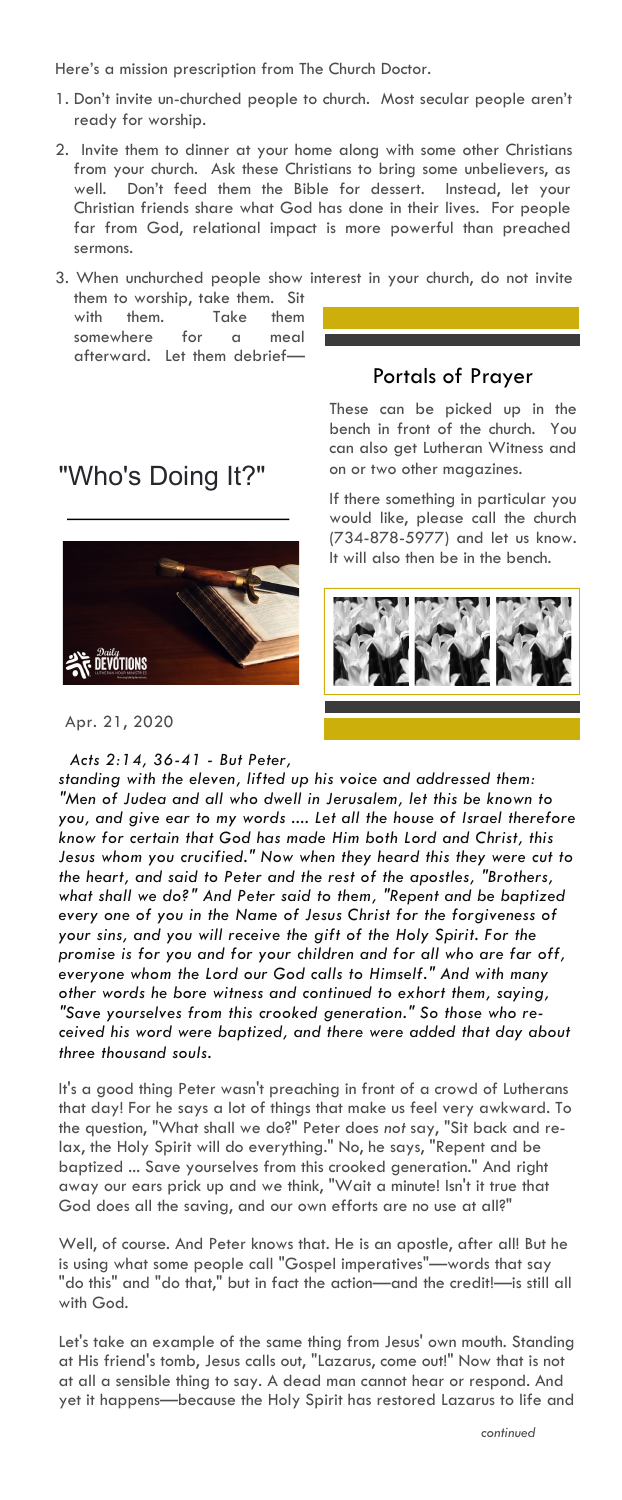Here's a mission prescription from The Church Doctor.

- 1. Don't invite un-churched people to church. Most secular people aren't ready for worship.
- 2. Invite them to dinner at your home along with some other Christians from your church. Ask these Christians to bring some unbelievers, as well. Don't feed them the Bible for dessert. Instead, let your Christian friends share what God has done in their lives. For people far from God, relational impact is more powerful than preached sermons.

3. When unchurched people show interest in your church, do not invite them to worship, take them. Sit

with them. Take them somewhere for a meal afterward. Let them debrief—

## "Who's Doing It?"



Apr. 21, 2020

*Acts 2:14, 36-41 - But Peter,* 

These can be picked up in the bench in front of the church. You can also get Lutheran Witness and on or two other magazines.

Portals of Prayer

If there something in particular you would like, please call the church (734-878-5977) and let us know. It will also then be in the bench.



*standing with the eleven, lifted up his voice and addressed them: "Men of Judea and all who dwell in Jerusalem, let this be known to you, and give ear to my words .... Let all the house of Israel therefore know for certain that God has made Him both Lord and Christ, this Jesus whom you crucified." Now when they heard this they were cut to the heart, and said to Peter and the rest of the apostles, "Brothers, what shall we do?" And Peter said to them, "Repent and be baptized every one of you in the Name of Jesus Christ for the forgiveness of your sins, and you will receive the gift of the Holy Spirit. For the promise is for you and for your children and for all who are far off, everyone whom the Lord our God calls to Himself." And with many other words he bore witness and continued to exhort them, saying, "Save yourselves from this crooked generation." So those who received his word were baptized, and there were added that day about three thousand souls.*

It's a good thing Peter wasn't preaching in front of a crowd of Lutherans that day! For he says a lot of things that make us feel very awkward. To the question, "What shall we do?" Peter does *not* say, "Sit back and relax, the Holy Spirit will do everything." No, he says, "Repent and be baptized ... Save yourselves from this crooked generation." And right away our ears prick up and we think, "Wait a minute! Isn't it true that God does all the saving, and our own efforts are no use at all?"

Well, of course. And Peter knows that. He is an apostle, after all! But he is using what some people call "Gospel imperatives"—words that say "do this" and "do that," but in fact the action—and the credit!—is still all with God.

Let's take an example of the same thing from Jesus' own mouth. Standing at His friend's tomb, Jesus calls out, "Lazarus, come out!" Now that is not at all a sensible thing to say. A dead man cannot hear or respond. And yet it happens—because the Holy Spirit has restored Lazarus to life and